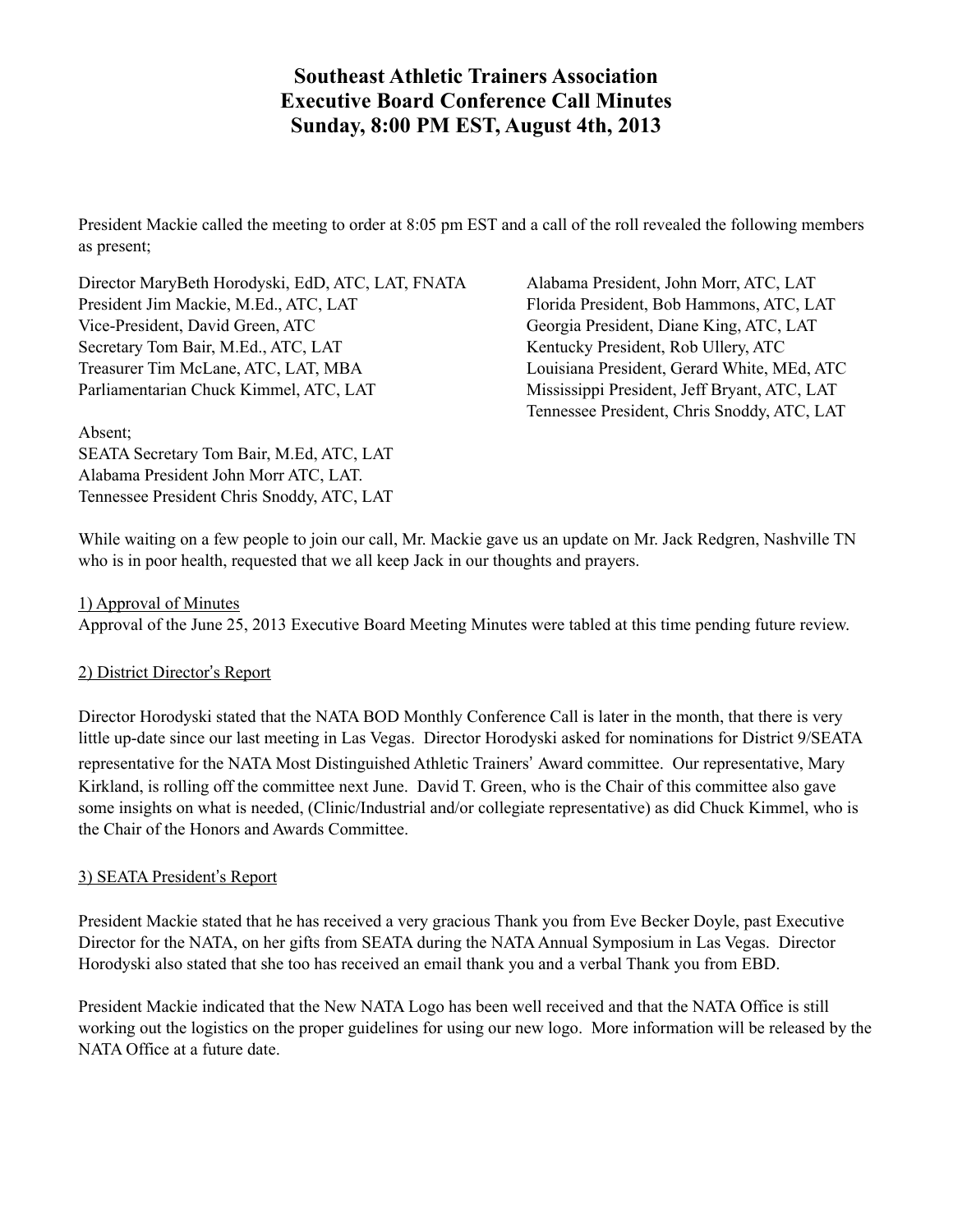## **Southeast Athletic Trainers Association Executive Board Conference Call Minutes Sunday, 8:00 PM EST, August 4th, 2013**

President Mackie called the meeting to order at 8:05 pm EST and a call of the roll revealed the following members as present;

Director MaryBeth Horodyski, EdD, ATC, LAT, FNATA Alabama President, John Morr, ATC, LAT President Jim Mackie, M.Ed., ATC, LAT Florida President, Bob Hammons, ATC, LAT Vice-President, David Green, ATC Georgia President, Diane King, ATC, LAT Secretary Tom Bair, M.Ed., ATC, LAT Kentucky President, Rob Ullery, ATC Treasurer Tim McLane, ATC, LAT, MBA Louisiana President, Gerard White, MEd, ATC Parliamentarian Chuck Kimmel, ATC, LAT Mississippi President, Jeff Bryant, ATC, LAT

Tennessee President, Chris Snoddy, ATC, LAT

#### Absent;

SEATA Secretary Tom Bair, M.Ed, ATC, LAT Alabama President John Morr ATC, LAT. Tennessee President Chris Snoddy, ATC, LAT

While waiting on a few people to join our call, Mr. Mackie gave us an update on Mr. Jack Redgren, Nashville TN who is in poor health, requested that we all keep Jack in our thoughts and prayers.

#### 1) Approval of Minutes

Approval of the June 25, 2013 Executive Board Meeting Minutes were tabled at this time pending future review.

### 2) District Director's Report

Director Horodyski stated that the NATA BOD Monthly Conference Call is later in the month, that there is very little up-date since our last meeting in Las Vegas. Director Horodyski asked for nominations for District 9/SEATA representative for the NATA Most Distinguished Athletic Trainers' Award committee. Our representative, Mary Kirkland, is rolling off the committee next June. David T. Green, who is the Chair of this committee also gave some insights on what is needed, (Clinic/Industrial and/or collegiate representative) as did Chuck Kimmel, who is the Chair of the Honors and Awards Committee.

### 3) SEATA President's Report

President Mackie stated that he has received a very gracious Thank you from Eve Becker Doyle, past Executive Director for the NATA, on her gifts from SEATA during the NATA Annual Symposium in Las Vegas. Director Horodyski also stated that she too has received an email thank you and a verbal Thank you from EBD.

President Mackie indicated that the New NATA Logo has been well received and that the NATA Office is still working out the logistics on the proper guidelines for using our new logo. More information will be released by the NATA Office at a future date.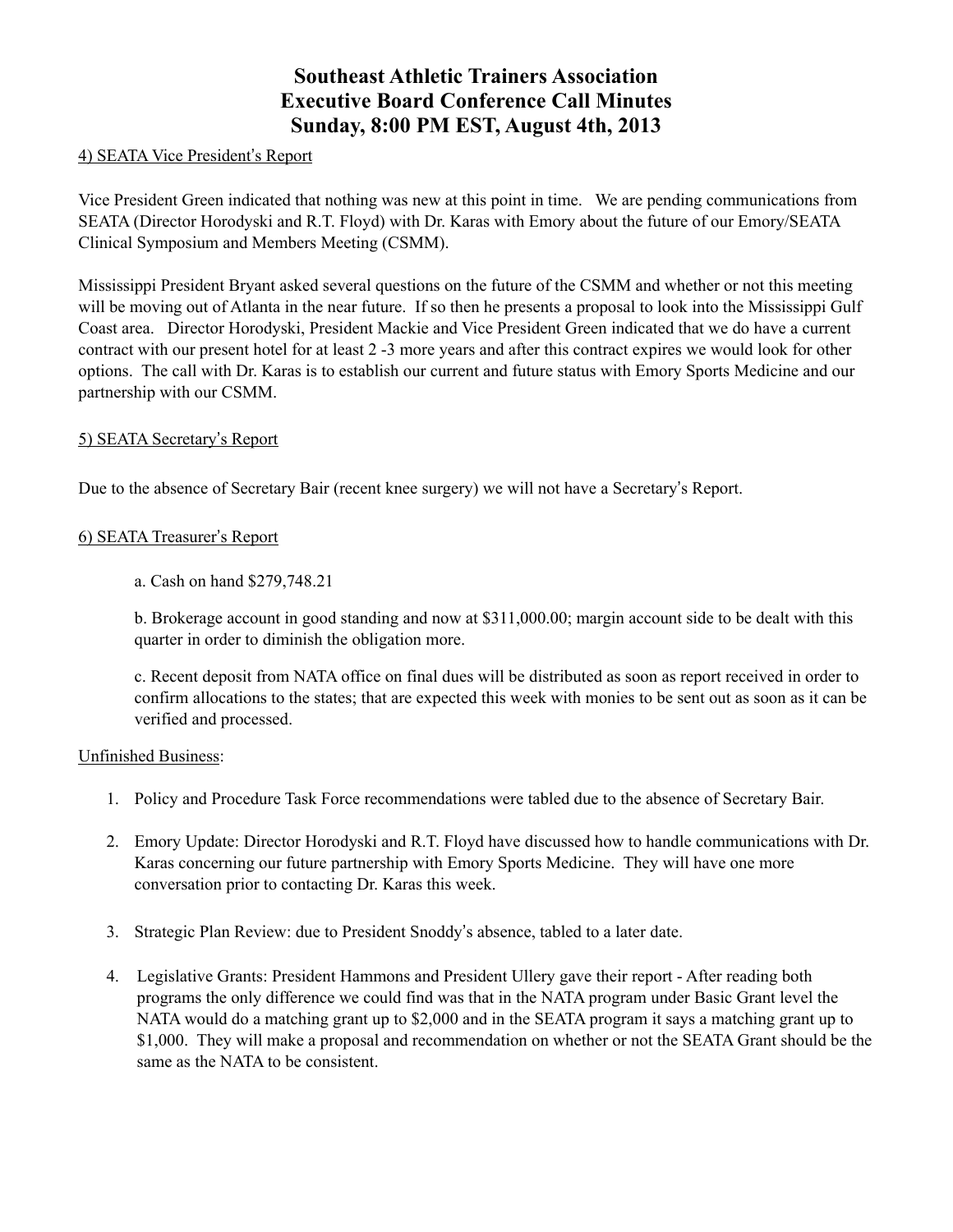# **Southeast Athletic Trainers Association Executive Board Conference Call Minutes Sunday, 8:00 PM EST, August 4th, 2013**

#### 4) SEATA Vice President's Report

Vice President Green indicated that nothing was new at this point in time. We are pending communications from SEATA (Director Horodyski and R.T. Floyd) with Dr. Karas with Emory about the future of our Emory/SEATA Clinical Symposium and Members Meeting (CSMM).

Mississippi President Bryant asked several questions on the future of the CSMM and whether or not this meeting will be moving out of Atlanta in the near future. If so then he presents a proposal to look into the Mississippi Gulf Coast area. Director Horodyski, President Mackie and Vice President Green indicated that we do have a current contract with our present hotel for at least 2 -3 more years and after this contract expires we would look for other options. The call with Dr. Karas is to establish our current and future status with Emory Sports Medicine and our partnership with our CSMM.

#### 5) SEATA Secretary's Report

Due to the absence of Secretary Bair (recent knee surgery) we will not have a Secretary's Report.

#### 6) SEATA Treasurer's Report

a. Cash on hand \$279,748.21

b. Brokerage account in good standing and now at \$311,000.00; margin account side to be dealt with this quarter in order to diminish the obligation more.

c. Recent deposit from NATA office on final dues will be distributed as soon as report received in order to confirm allocations to the states; that are expected this week with monies to be sent out as soon as it can be verified and processed.

#### Unfinished Business:

- 1. Policy and Procedure Task Force recommendations were tabled due to the absence of Secretary Bair.
- 2. Emory Update: Director Horodyski and R.T. Floyd have discussed how to handle communications with Dr. Karas concerning our future partnership with Emory Sports Medicine. They will have one more conversation prior to contacting Dr. Karas this week.
- 3. Strategic Plan Review: due to President Snoddy's absence, tabled to a later date.
- 4. Legislative Grants: President Hammons and President Ullery gave their report After reading both programs the only difference we could find was that in the NATA program under Basic Grant level the NATA would do a matching grant up to \$2,000 and in the SEATA program it says a matching grant up to \$1,000. They will make a proposal and recommendation on whether or not the SEATA Grant should be the same as the NATA to be consistent.